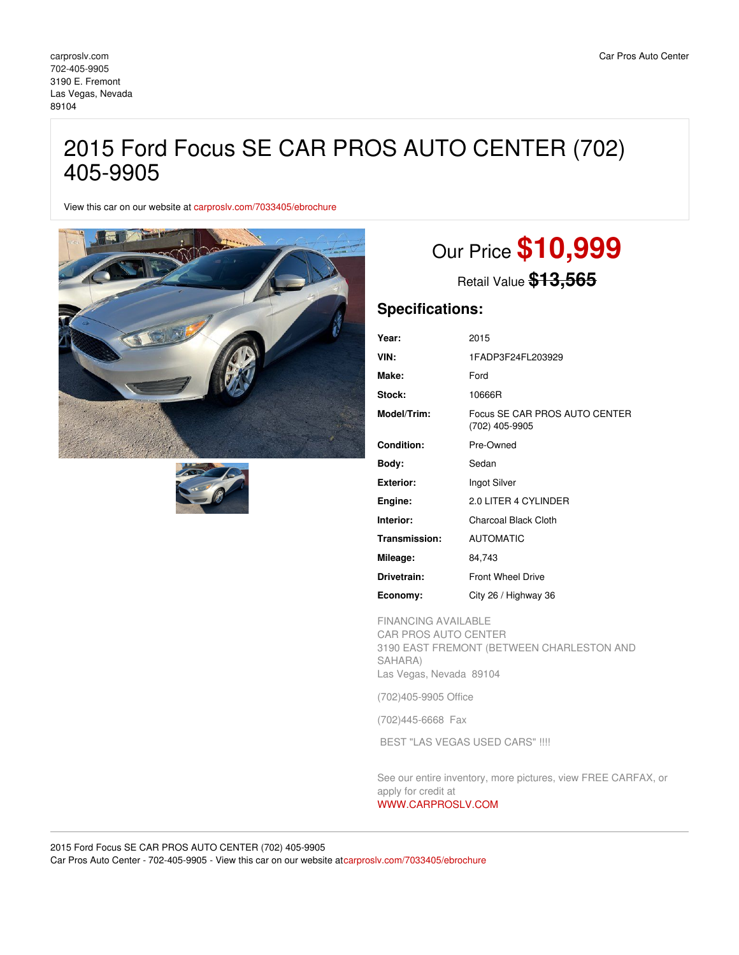## 2015 Ford Focus SE CAR PROS AUTO CENTER (702) 405-9905

View this car on our website at [carproslv.com/7033405/ebrochure](https://carproslv.com/vehicle/7033405/2015-ford-focus-se-car-pros-auto-center-702-405-9905-las-vegas-nevada-89104/7033405/ebrochure)





# Our Price **\$10,999**

Retail Value **\$13,565**

### **Specifications:**

| Year:             | 2015                                            |
|-------------------|-------------------------------------------------|
| VIN:              | 1FADP3F24FL203929                               |
| Make:             | Ford                                            |
| Stock:            | 10666R                                          |
| Model/Trim:       | Focus SE CAR PROS AUTO CENTER<br>(702) 405-9905 |
| <b>Condition:</b> | Pre-Owned                                       |
| Body:             | Sedan                                           |
| <b>Exterior:</b>  | Ingot Silver                                    |
| Engine:           | 2.0 LITER 4 CYLINDER                            |
| Interior:         | Charcoal Black Cloth                            |
| Transmission:     | <b>AUTOMATIC</b>                                |
| Mileage:          | 84,743                                          |
| Drivetrain:       | <b>Front Wheel Drive</b>                        |
| Economy:          | City 26 / Highway 36                            |

FINANCING AVAILABLE

CAR PROS AUTO CENTER 3190 EAST FREMONT (BETWEEN CHARLESTON AND SAHARA) Las Vegas, Nevada 89104

(702)405-9905 Office

(702)445-6668 Fax

BEST "LAS VEGAS USED CARS" !!!!

See our entire inventory, more pictures, view FREE CARFAX, or apply for credit at [WWW.CARPROSLV.COM](http://www.carproslv.com)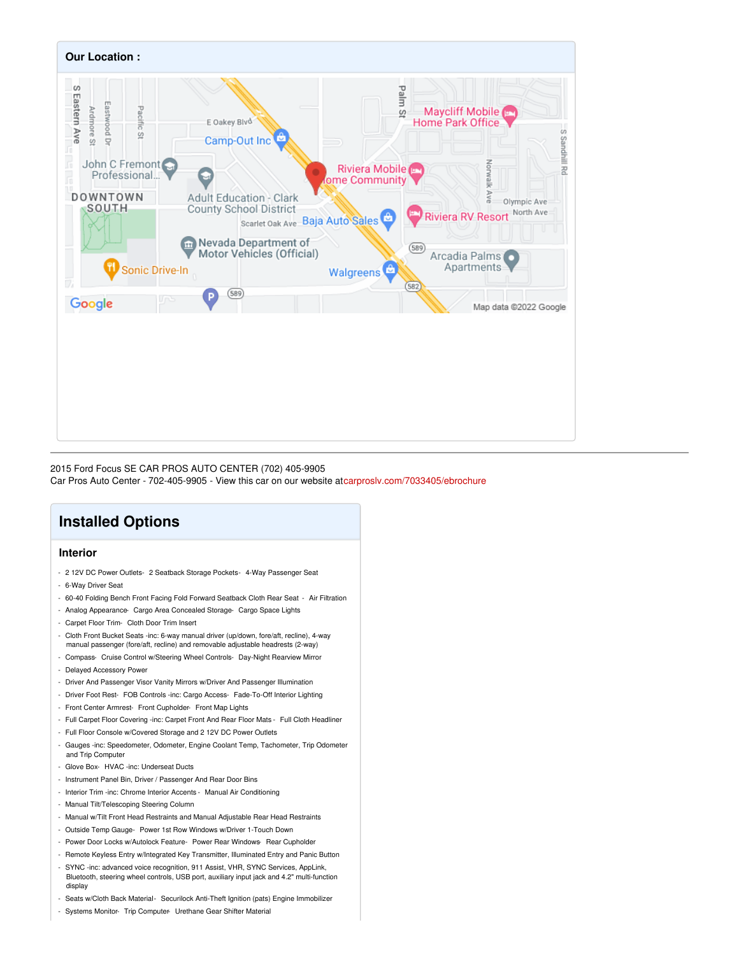

2015 Ford Focus SE CAR PROS AUTO CENTER (702) 405-9905 Car Pros Auto Center - 702-405-9905 - View this car on our website a[tcarproslv.com/7033405/ebrochure](https://carproslv.com/vehicle/7033405/2015-ford-focus-se-car-pros-auto-center-702-405-9905-las-vegas-nevada-89104/7033405/ebrochure)

## **Installed Options**

#### **Interior**

- 2 12V DC Power Outlets- 2 Seatback Storage Pockets- 4-Way Passenger Seat
- 6-Way Driver Seat
- 60-40 Folding Bench Front Facing Fold Forward Seatback Cloth Rear Seat Air Filtration
- Analog Appearance- Cargo Area Concealed Storage- Cargo Space Lights
- Carpet Floor Trim- Cloth Door Trim Insert
- Cloth Front Bucket Seats -inc: 6-way manual driver (up/down, fore/aft, recline), 4-way manual passenger (fore/aft, recline) and removable adjustable headrests (2-way)
- Compass- Cruise Control w/Steering Wheel Controls- Day-Night Rearview Mirror
- Delayed Accessory Power
- Driver And Passenger Visor Vanity Mirrors w/Driver And Passenger Illumination
- Driver Foot Rest- FOB Controls -inc: Cargo Access- Fade-To-Off Interior Lighting
- Front Center Armrest- Front Cupholder- Front Map Lights
- Full Carpet Floor Covering -inc: Carpet Front And Rear Floor Mats Full Cloth Headliner
- Full Floor Console w/Covered Storage and 2 12V DC Power Outlets
- Gauges -inc: Speedometer, Odometer, Engine Coolant Temp, Tachometer, Trip Odometer and Trip Computer
- Glove Box- HVAC -inc: Underseat Ducts
- Instrument Panel Bin, Driver / Passenger And Rear Door Bins
- Interior Trim -inc: Chrome Interior Accents Manual Air Conditioning
- Manual Tilt/Telescoping Steering Column
- Manual w/Tilt Front Head Restraints and Manual Adjustable Rear Head Restraints
- Outside Temp Gauge- Power 1st Row Windows w/Driver 1-Touch Down
- Power Door Locks w/Autolock Feature- Power Rear Windows- Rear Cupholder
- Remote Keyless Entry w/Integrated Key Transmitter, Illuminated Entry and Panic Button
- SYNC -inc: advanced voice recognition, 911 Assist, VHR, SYNC Services, AppLink, Bluetooth, steering wheel controls, USB port, auxiliary input jack and 4.2" multi-function display
- Seats w/Cloth Back Material- Securilock Anti-Theft Ignition (pats) Engine Immobilizer
- Systems Monitor- Trip Computer- Urethane Gear Shifter Material